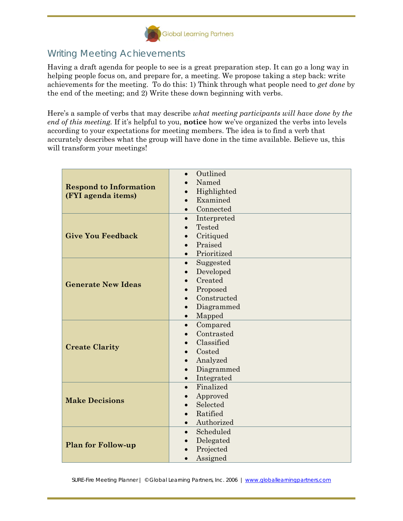

## Writing Meeting Achievements

Having a draft agenda for people to see is a great preparation step. It can go a long way in helping people focus on, and prepare for, a meeting. We propose taking a step back: write achievements for the meeting. To do this: 1) Think through what people need to *get done* by the end of the meeting; and 2) Write these down beginning with verbs.

Here's a sample of verbs that may describe *what meeting participants will have done by the end of this meeting.* If it's helpful to you, **notice** how we've organized the verbs into levels according to your expectations for meeting members. The idea is to find a verb that accurately describes what the group will have done in the time available. Believe us, this will transform your meetings!

| <b>Respond to Information</b><br>(FYI agenda items) | Outlined<br>$\bullet$    |
|-----------------------------------------------------|--------------------------|
|                                                     | Named                    |
|                                                     | Highlighted              |
|                                                     | Examined                 |
|                                                     | Connected                |
| <b>Give You Feedback</b>                            | Interpreted<br>$\bullet$ |
|                                                     | Tested                   |
|                                                     | Critiqued                |
|                                                     | Praised                  |
|                                                     | Prioritized<br>$\bullet$ |
| <b>Generate New Ideas</b>                           | Suggested<br>$\bullet$   |
|                                                     | Developed<br>$\bullet$   |
|                                                     | Created<br>$\bullet$     |
|                                                     | Proposed<br>$\bullet$    |
|                                                     | Constructed              |
|                                                     | Diagrammed               |
|                                                     | Mapped<br>$\bullet$      |
| <b>Create Clarity</b>                               | Compared<br>$\bullet$    |
|                                                     | Contrasted               |
|                                                     | Classified               |
|                                                     | Costed<br>$\bullet$      |
|                                                     | Analyzed                 |
|                                                     | Diagrammed               |
|                                                     | Integrated               |
| <b>Make Decisions</b>                               | Finalized<br>$\bullet$   |
|                                                     | Approved<br>$\bullet$    |
|                                                     | Selected                 |
|                                                     | Ratified                 |
|                                                     | Authorized<br>$\bullet$  |
| <b>Plan for Follow-up</b>                           | Scheduled                |
|                                                     | Delegated                |
|                                                     | Projected                |
|                                                     | Assigned                 |